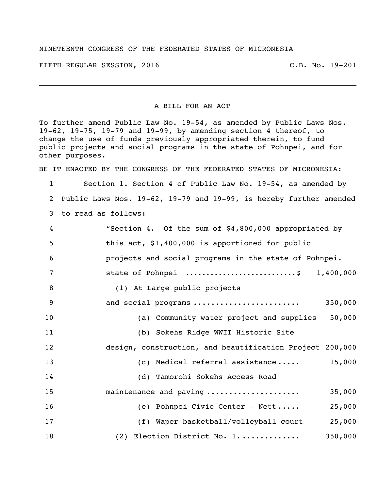## NINETEENTH CONGRESS OF THE FEDERATED STATES OF MICRONESIA

FIFTH REGULAR SESSION, 2016 C.B. No. 19-201

## A BILL FOR AN ACT

To further amend Public Law No. 19-54, as amended by Public Laws Nos. 19-62, 19-75, 19-79 and 19-99, by amending section 4 thereof, to change the use of funds previously appropriated therein, to fund public projects and social programs in the state of Pohnpei, and for other purposes.

BE IT ENACTED BY THE CONGRESS OF THE FEDERATED STATES OF MICRONESIA:

 Section 1. Section 4 of Public Law No. 19-54, as amended by Public Laws Nos. 19-62, 19-79 and 19-99, is hereby further amended to read as follows:

| 4  | "Section 4. Of the sum of \$4,800,000 appropriated by    |
|----|----------------------------------------------------------|
| 5  | this act, \$1,400,000 is apportioned for public          |
| 6  | projects and social programs in the state of Pohnpei.    |
| 7  | state of Pohnpei \$ 1,400,000                            |
| 8  | (1) At Large public projects                             |
| 9  | and social programs<br>350,000                           |
| 10 | 50,000<br>(a) Community water project and supplies       |
| 11 | (b) Sokehs Ridge WWII Historic Site                      |
| 12 | design, construction, and beautification Project 200,000 |
| 13 | 15,000<br>(c) Medical referral assistance                |
| 14 | (d) Tamorohi Sokehs Access Road                          |
| 15 | maintenance and paving<br>35,000                         |
| 16 | 25,000<br>(e) Pohnpei Civic Center - Nett                |
| 17 | (f) Waper basketball/volleyball court<br>25,000          |
| 18 | 350,000<br>(2) Election District No. 1                   |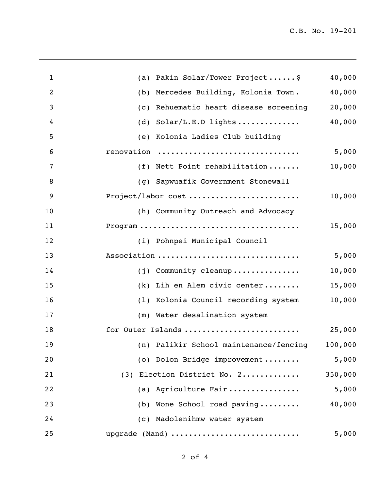| $\mathbf{1}$   | (a) Pakin Solar/Tower Project\$                         | 40,000  |
|----------------|---------------------------------------------------------|---------|
| $\overline{2}$ | Mercedes Building, Kolonia Town.<br>(b)                 | 40,000  |
| 3              | Rehuematic heart disease screening<br>$\left( c\right)$ | 20,000  |
| 4              | Solar/L.E.D lights<br>(d)                               | 40,000  |
| 5              | (e) Kolonia Ladies Club building                        |         |
| 6              | renovation                                              | 5,000   |
| 7              | (f) Nett Point rehabilitation                           | 10,000  |
| 8              | Sapwuafik Government Stonewall<br>(q)                   |         |
| 9              | Project/labor cost                                      | 10,000  |
| 10             | (h) Community Outreach and Advocacy                     |         |
| 11             |                                                         | 15,000  |
| 12             | (i) Pohnpei Municipal Council                           |         |
| 13             | Association                                             | 5,000   |
| 14             | (j) Community cleanup                                   | 10,000  |
| 15             | (k) Lih en Alem civic center                            | 15,000  |
| 16             | (1) Kolonia Council recording system                    | 10,000  |
| 17             | (m) Water desalination system                           |         |
| 18             | for Outer Islands                                       | 25,000  |
| 19             | (n) Palikir School maintenance/fencing                  | 100,000 |
| 20             | (o) Dolon Bridge improvement                            | 5,000   |
| 21             | (3) Election District No. 2                             | 350,000 |
| 22             | (a) Agriculture Fair                                    | 5,000   |
| 23             | Wone School road paving<br>(b)                          | 40,000  |
| 24             | (c) Madolenihmw water system                            |         |
| 25             | upgrade (Mand)                                          | 5,000   |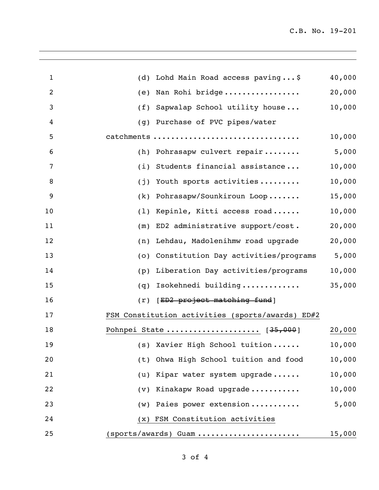| $\mathbf{1}$ | Lohd Main Road access paving\$<br>(d)            | 40,000 |
|--------------|--------------------------------------------------|--------|
| 2            | Nan Rohi bridge<br>(e)                           | 20,000 |
| 3            | Sapwalap School utility house<br>(f)             | 10,000 |
| 4            | Purchase of PVC pipes/water<br>(g)               |        |
| 5            | catchments                                       | 10,000 |
| 6            | Pohrasapw culvert repair<br>(h)                  | 5,000  |
| 7            | Students financial assistance<br>(i)             | 10,000 |
| 8            | Youth sports activities<br>(j)                   | 10,000 |
| 9            | Pohrasapw/Sounkiroun Loop<br>(k)                 | 15,000 |
| 10           | Kepinle, Kitti access road<br>(1)                | 10,000 |
| 11           | ED2 administrative support/cost.<br>(m)          | 20,000 |
| 12           | Lehdau, Madolenihmw road upgrade<br>(n)          | 20,000 |
| 13           | Constitution Day activities/programs<br>(0)      | 5,000  |
| 14           | Liberation Day activities/programs<br>(p)        | 10,000 |
| 15           | Isokehnedi building<br>(q)                       | 35,000 |
| 16           | [ED2 project matching fund]<br>(r)               |        |
| 17           | FSM Constitution activities (sports/awards) ED#2 |        |
| 18           | Pohnpei State  [35,000]                          | 20,000 |
| 19           | (s) Xavier High School tuition                   | 10,000 |
| 20           | Ohwa High School tuition and food<br>(t)         | 10,000 |
| 21           | Kipar water system upgrade<br>(u)                | 10,000 |
| 22           | (v) Kinakapw Road upgrade                        | 10,000 |
| 23           | (w) Paies power extension                        | 5,000  |
| 24           | (x) FSM Constitution activities                  |        |
| 25           | $(sports/awards)$ Guam                           | 15,000 |
|              |                                                  |        |